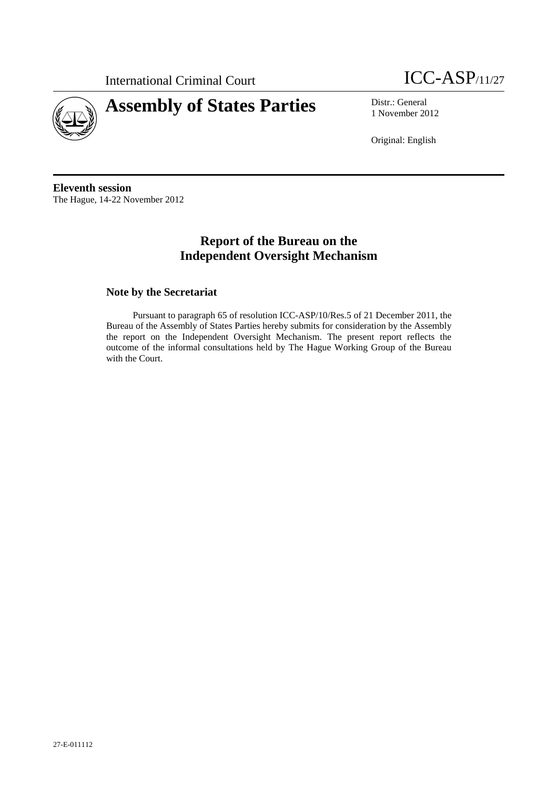



1 November 2012

Original: English

**Eleventh session**  The Hague, 14-22 November 2012

# **Report of the Bureau on the Independent Oversight Mechanism**

### **Note by the Secretariat**

Pursuant to paragraph 65 of resolution ICC-ASP/10/Res.5 of 21 December 2011, the Bureau of the Assembly of States Parties hereby submits for consideration by the Assembly the report on the Independent Oversight Mechanism. The present report reflects the outcome of the informal consultations held by The Hague Working Group of the Bureau with the Court.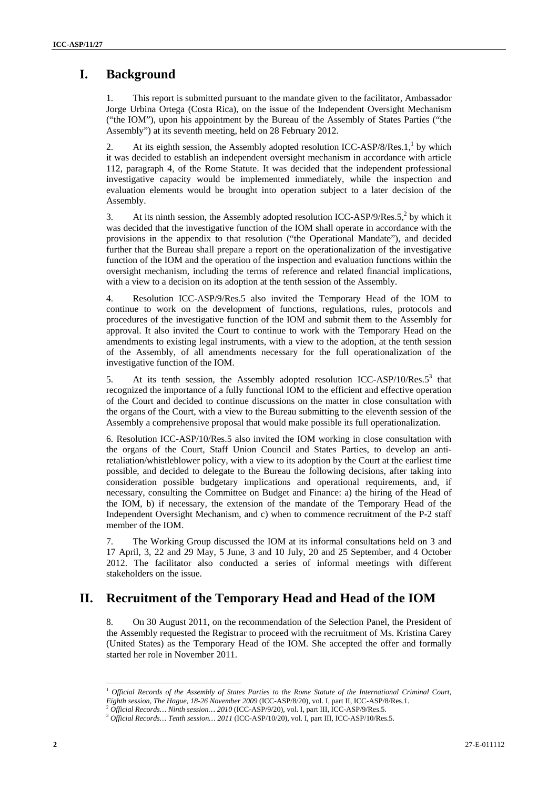# **I. Background**

1. This report is submitted pursuant to the mandate given to the facilitator, Ambassador Jorge Urbina Ortega (Costa Rica), on the issue of the Independent Oversight Mechanism ("the IOM"), upon his appointment by the Bureau of the Assembly of States Parties ("the Assembly") at its seventh meeting, held on 28 February 2012.

2. At its eighth session, the Assembly adopted resolution ICC-ASP/8/Res.1, $<sup>1</sup>$  by which</sup> it was decided to establish an independent oversight mechanism in accordance with article 112, paragraph 4, of the Rome Statute. It was decided that the independent professional investigative capacity would be implemented immediately, while the inspection and evaluation elements would be brought into operation subject to a later decision of the Assembly.

3. At its ninth session, the Assembly adopted resolution ICC-ASP/9/Res.5, $^2$  by which it was decided that the investigative function of the IOM shall operate in accordance with the provisions in the appendix to that resolution ("the Operational Mandate"), and decided further that the Bureau shall prepare a report on the operationalization of the investigative function of the IOM and the operation of the inspection and evaluation functions within the oversight mechanism, including the terms of reference and related financial implications, with a view to a decision on its adoption at the tenth session of the Assembly.

4. Resolution ICC-ASP/9/Res.5 also invited the Temporary Head of the IOM to continue to work on the development of functions, regulations, rules, protocols and procedures of the investigative function of the IOM and submit them to the Assembly for approval. It also invited the Court to continue to work with the Temporary Head on the amendments to existing legal instruments, with a view to the adoption, at the tenth session of the Assembly, of all amendments necessary for the full operationalization of the investigative function of the IOM.

5. At its tenth session, the Assembly adopted resolution ICC-ASP/10/Res.<sup>53</sup> that recognized the importance of a fully functional IOM to the efficient and effective operation of the Court and decided to continue discussions on the matter in close consultation with the organs of the Court, with a view to the Bureau submitting to the eleventh session of the Assembly a comprehensive proposal that would make possible its full operationalization.

6. Resolution ICC-ASP/10/Res.5 also invited the IOM working in close consultation with the organs of the Court, Staff Union Council and States Parties, to develop an antiretaliation/whistleblower policy, with a view to its adoption by the Court at the earliest time possible, and decided to delegate to the Bureau the following decisions, after taking into consideration possible budgetary implications and operational requirements, and, if necessary, consulting the Committee on Budget and Finance: a) the hiring of the Head of the IOM, b) if necessary, the extension of the mandate of the Temporary Head of the Independent Oversight Mechanism, and c) when to commence recruitment of the P-2 staff member of the IOM.

7. The Working Group discussed the IOM at its informal consultations held on 3 and 17 April, 3, 22 and 29 May, 5 June, 3 and 10 July, 20 and 25 September, and 4 October 2012. The facilitator also conducted a series of informal meetings with different stakeholders on the issue.

# **II. Recruitment of the Temporary Head and Head of the IOM**

8. On 30 August 2011, on the recommendation of the Selection Panel, the President of the Assembly requested the Registrar to proceed with the recruitment of Ms. Kristina Carey (United States) as the Temporary Head of the IOM. She accepted the offer and formally started her role in November 2011.

 $\overline{a}$ 

<sup>1</sup> *Official Records of the Assembly of States Parties to the Rome Statute of the International Criminal Court,* 

Eighth session, The Hague, 18-26 November 2009 (ICC-ASP/8/20), vol. I, part II, ICC-ASP/8/Res.1.<br><sup>2</sup> Official Records... Ninth session... 2010 (ICC-ASP/9/20), vol. I, part III, ICC-ASP/9/Res.5.<br><sup>3</sup> Official Records... Tent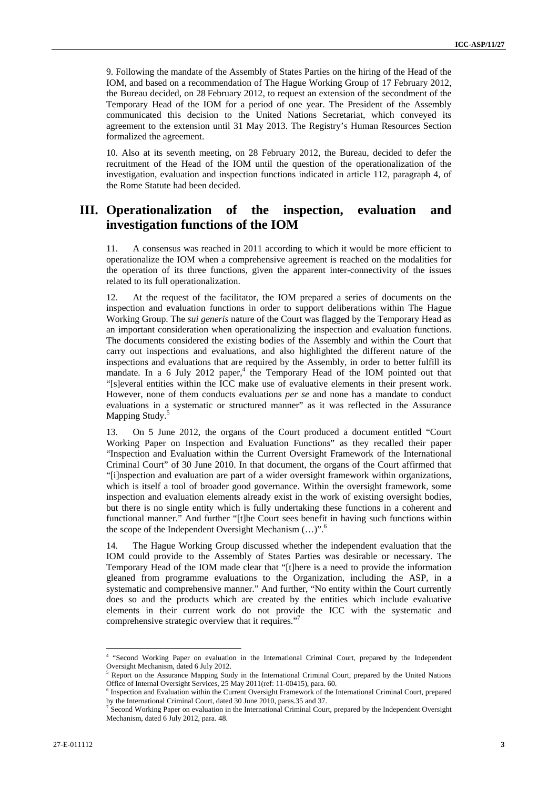9. Following the mandate of the Assembly of States Parties on the hiring of the Head of the IOM, and based on a recommendation of The Hague Working Group of 17 February 2012, the Bureau decided, on 28 February 2012, to request an extension of the secondment of the Temporary Head of the IOM for a period of one year. The President of the Assembly communicated this decision to the United Nations Secretariat, which conveyed its agreement to the extension until 31 May 2013. The Registry's Human Resources Section formalized the agreement.

10. Also at its seventh meeting, on 28 February 2012, the Bureau, decided to defer the recruitment of the Head of the IOM until the question of the operationalization of the investigation, evaluation and inspection functions indicated in article 112, paragraph 4, of the Rome Statute had been decided.

## **III. Operationalization of the inspection, evaluation and investigation functions of the IOM**

11. A consensus was reached in 2011 according to which it would be more efficient to operationalize the IOM when a comprehensive agreement is reached on the modalities for the operation of its three functions, given the apparent inter-connectivity of the issues related to its full operationalization.

12. At the request of the facilitator, the IOM prepared a series of documents on the inspection and evaluation functions in order to support deliberations within The Hague Working Group. The *sui generis* nature of the Court was flagged by the Temporary Head as an important consideration when operationalizing the inspection and evaluation functions. The documents considered the existing bodies of the Assembly and within the Court that carry out inspections and evaluations, and also highlighted the different nature of the inspections and evaluations that are required by the Assembly, in order to better fulfill its mandate. In a 6 July 2012 paper,<sup>4</sup> the Temporary Head of the IOM pointed out that "[s]everal entities within the ICC make use of evaluative elements in their present work. However, none of them conducts evaluations *per se* and none has a mandate to conduct evaluations in a systematic or structured manner" as it was reflected in the Assurance Mapping Study.<sup>5</sup>

13. On 5 June 2012, the organs of the Court produced a document entitled "Court Working Paper on Inspection and Evaluation Functions" as they recalled their paper "Inspection and Evaluation within the Current Oversight Framework of the International Criminal Court" of 30 June 2010. In that document, the organs of the Court affirmed that "[i]nspection and evaluation are part of a wider oversight framework within organizations, which is itself a tool of broader good governance. Within the oversight framework, some inspection and evaluation elements already exist in the work of existing oversight bodies, but there is no single entity which is fully undertaking these functions in a coherent and functional manner." And further "[t]he Court sees benefit in having such functions within the scope of the Independent Oversight Mechanism (...)".<sup>6</sup>

14. The Hague Working Group discussed whether the independent evaluation that the IOM could provide to the Assembly of States Parties was desirable or necessary. The Temporary Head of the IOM made clear that "[t]here is a need to provide the information gleaned from programme evaluations to the Organization, including the ASP, in a systematic and comprehensive manner." And further, "No entity within the Court currently does so and the products which are created by the entities which include evaluative elements in their current work do not provide the ICC with the systematic and comprehensive strategic overview that it requires."<sup>7</sup>

 4 "Second Working Paper on evaluation in the International Criminal Court, prepared by the Independent Oversight Mechanism, dated 6 July 2012.

<sup>&</sup>lt;sup>5</sup> Report on the Assurance Mapping Study in the International Criminal Court, prepared by the United Nations Office of Internal Oversight Services, 25 May 2011(ref: 11-00415), para. 60.

<sup>&</sup>lt;sup>6</sup> Inspection and Evaluation within the Current Oversight Framework of the International Criminal Court, prepared by the International Criminal Court, dated 30 June 2010, paras.35 and 37.

Second Working Paper on evaluation in the International Criminal Court, prepared by the Independent Oversight Mechanism, dated 6 July 2012, para. 48.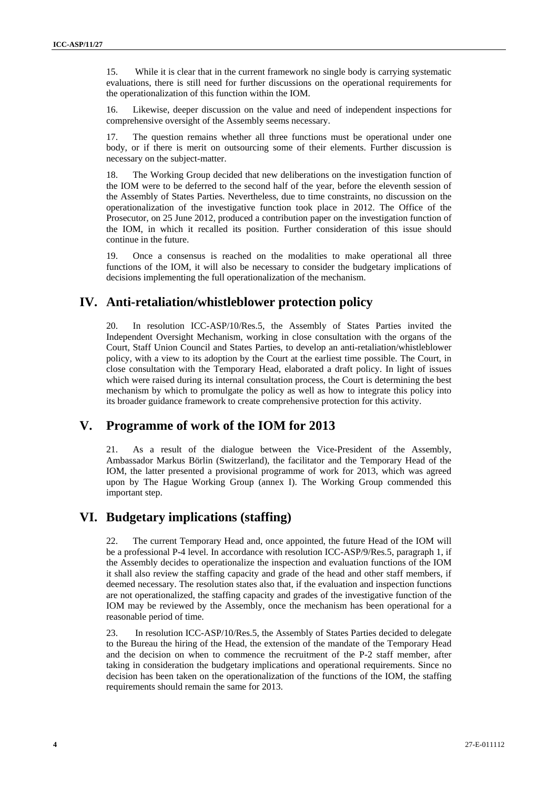15. While it is clear that in the current framework no single body is carrying systematic evaluations, there is still need for further discussions on the operational requirements for the operationalization of this function within the IOM.

16. Likewise, deeper discussion on the value and need of independent inspections for comprehensive oversight of the Assembly seems necessary.

17. The question remains whether all three functions must be operational under one body, or if there is merit on outsourcing some of their elements. Further discussion is necessary on the subject-matter.

18. The Working Group decided that new deliberations on the investigation function of the IOM were to be deferred to the second half of the year, before the eleventh session of the Assembly of States Parties. Nevertheless, due to time constraints, no discussion on the operationalization of the investigative function took place in 2012. The Office of the Prosecutor, on 25 June 2012, produced a contribution paper on the investigation function of the IOM, in which it recalled its position. Further consideration of this issue should continue in the future.

19. Once a consensus is reached on the modalities to make operational all three functions of the IOM, it will also be necessary to consider the budgetary implications of decisions implementing the full operationalization of the mechanism.

## **IV. Anti-retaliation/whistleblower protection policy**

20. In resolution ICC-ASP/10/Res.5, the Assembly of States Parties invited the Independent Oversight Mechanism, working in close consultation with the organs of the Court, Staff Union Council and States Parties, to develop an anti-retaliation/whistleblower policy, with a view to its adoption by the Court at the earliest time possible. The Court, in close consultation with the Temporary Head, elaborated a draft policy. In light of issues which were raised during its internal consultation process, the Court is determining the best mechanism by which to promulgate the policy as well as how to integrate this policy into its broader guidance framework to create comprehensive protection for this activity.

## **V. Programme of work of the IOM for 2013**

21. As a result of the dialogue between the Vice-President of the Assembly, Ambassador Markus Börlin (Switzerland), the facilitator and the Temporary Head of the IOM, the latter presented a provisional programme of work for 2013, which was agreed upon by The Hague Working Group (annex I). The Working Group commended this important step.

## **VI. Budgetary implications (staffing)**

22. The current Temporary Head and, once appointed, the future Head of the IOM will be a professional P-4 level. In accordance with resolution ICC-ASP/9/Res.5, paragraph 1, if the Assembly decides to operationalize the inspection and evaluation functions of the IOM it shall also review the staffing capacity and grade of the head and other staff members, if deemed necessary. The resolution states also that, if the evaluation and inspection functions are not operationalized, the staffing capacity and grades of the investigative function of the IOM may be reviewed by the Assembly, once the mechanism has been operational for a reasonable period of time.

23. In resolution ICC-ASP/10/Res.5, the Assembly of States Parties decided to delegate to the Bureau the hiring of the Head, the extension of the mandate of the Temporary Head and the decision on when to commence the recruitment of the P-2 staff member, after taking in consideration the budgetary implications and operational requirements. Since no decision has been taken on the operationalization of the functions of the IOM, the staffing requirements should remain the same for 2013.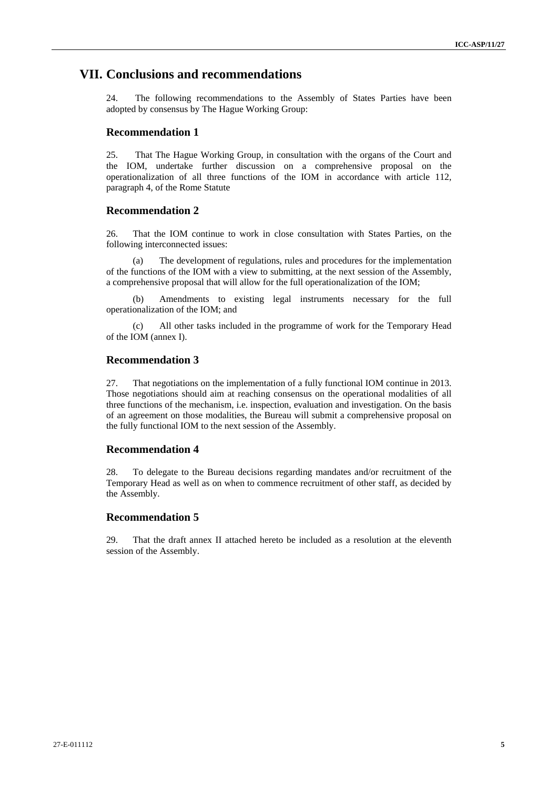### **VII. Conclusions and recommendations**

24. The following recommendations to the Assembly of States Parties have been adopted by consensus by The Hague Working Group:

#### **Recommendation 1**

25. That The Hague Working Group, in consultation with the organs of the Court and the IOM, undertake further discussion on a comprehensive proposal on the operationalization of all three functions of the IOM in accordance with article 112, paragraph 4, of the Rome Statute

### **Recommendation 2**

26. That the IOM continue to work in close consultation with States Parties, on the following interconnected issues:

(a) The development of regulations, rules and procedures for the implementation of the functions of the IOM with a view to submitting, at the next session of the Assembly, a comprehensive proposal that will allow for the full operationalization of the IOM;

(b) Amendments to existing legal instruments necessary for the full operationalization of the IOM; and

(c) All other tasks included in the programme of work for the Temporary Head of the IOM (annex I).

### **Recommendation 3**

27. That negotiations on the implementation of a fully functional IOM continue in 2013. Those negotiations should aim at reaching consensus on the operational modalities of all three functions of the mechanism, i.e. inspection, evaluation and investigation. On the basis of an agreement on those modalities, the Bureau will submit a comprehensive proposal on the fully functional IOM to the next session of the Assembly.

#### **Recommendation 4**

28. To delegate to the Bureau decisions regarding mandates and/or recruitment of the Temporary Head as well as on when to commence recruitment of other staff, as decided by the Assembly.

### **Recommendation 5**

29. That the draft annex II attached hereto be included as a resolution at the eleventh session of the Assembly.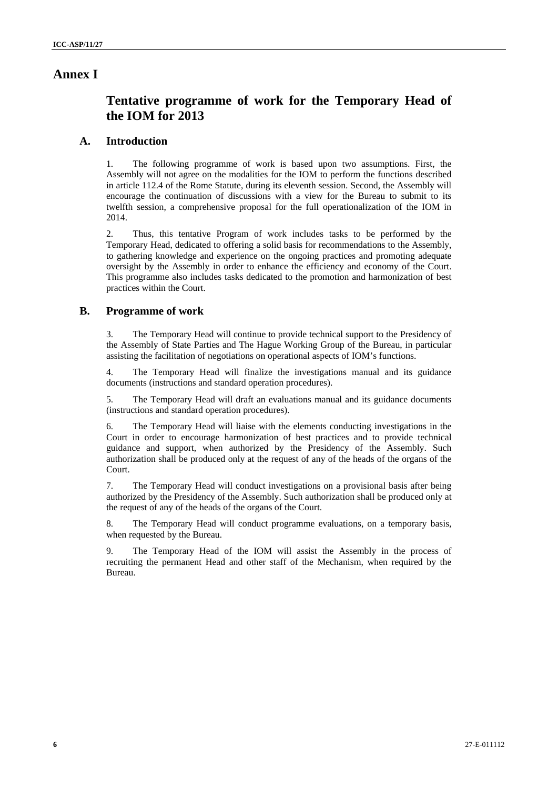### **Annex I**

# **Tentative programme of work for the Temporary Head of the IOM for 2013**

### **A. Introduction**

1. The following programme of work is based upon two assumptions. First, the Assembly will not agree on the modalities for the IOM to perform the functions described in article 112.4 of the Rome Statute, during its eleventh session. Second, the Assembly will encourage the continuation of discussions with a view for the Bureau to submit to its twelfth session, a comprehensive proposal for the full operationalization of the IOM in 2014.

2. Thus, this tentative Program of work includes tasks to be performed by the Temporary Head, dedicated to offering a solid basis for recommendations to the Assembly, to gathering knowledge and experience on the ongoing practices and promoting adequate oversight by the Assembly in order to enhance the efficiency and economy of the Court. This programme also includes tasks dedicated to the promotion and harmonization of best practices within the Court.

#### **B. Programme of work**

3. The Temporary Head will continue to provide technical support to the Presidency of the Assembly of State Parties and The Hague Working Group of the Bureau, in particular assisting the facilitation of negotiations on operational aspects of IOM's functions.

4. The Temporary Head will finalize the investigations manual and its guidance documents (instructions and standard operation procedures).

5. The Temporary Head will draft an evaluations manual and its guidance documents (instructions and standard operation procedures).

6. The Temporary Head will liaise with the elements conducting investigations in the Court in order to encourage harmonization of best practices and to provide technical guidance and support, when authorized by the Presidency of the Assembly. Such authorization shall be produced only at the request of any of the heads of the organs of the Court.

7. The Temporary Head will conduct investigations on a provisional basis after being authorized by the Presidency of the Assembly. Such authorization shall be produced only at the request of any of the heads of the organs of the Court.

8. The Temporary Head will conduct programme evaluations, on a temporary basis, when requested by the Bureau.

9. The Temporary Head of the IOM will assist the Assembly in the process of recruiting the permanent Head and other staff of the Mechanism, when required by the Bureau.